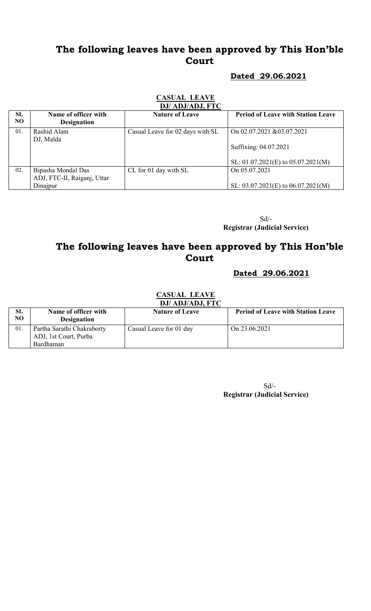## The following leaves have been approved by This Hon'ble Court

#### Dated 29.06.2021

## CASUAL LEAVE

|                  | DJ/ ADJ/ADJ, FTC                           |                                  |                                           |  |
|------------------|--------------------------------------------|----------------------------------|-------------------------------------------|--|
| <b>SL</b><br>NO. | Name of officer with<br><b>Designation</b> | <b>Nature of Leave</b>           | <b>Period of Leave with Station Leave</b> |  |
| 01.              | Rashid Alam                                | Casual Leave for 02 days with SL | On 02.07.2021 & 03.07.2021                |  |
|                  | DJ, Malda                                  |                                  |                                           |  |
|                  |                                            |                                  | Suffixing: 04.07.2021                     |  |
|                  |                                            |                                  |                                           |  |
|                  |                                            |                                  | SL: $01.07.2021(E)$ to $05.07.2021(M)$    |  |
| 02.              | Bipasha Mondal Das                         | CL for 01 day with SL            | On 05.07.2021                             |  |
|                  | ADJ, FTC-II, Raiganj, Uttar                |                                  |                                           |  |
|                  | Dinajpur                                   |                                  | SL: $03.07.2021(E)$ to $06.07.2021(M)$    |  |

 Sd/- Registrar (Judicial Service)

## The following leaves have been approved by This Hon'ble Court

#### Dated 29.06.2021

#### CASUAL LEAVE DJ/ ADJ/ADJ, FTC

| SL<br>NO | Name of officer with<br><b>Designation</b>                       | <b>Nature of Leave</b>  | <b>Period of Leave with Station Leave</b> |
|----------|------------------------------------------------------------------|-------------------------|-------------------------------------------|
| 01.      | Partha Sarathi Chakraborty<br>ADJ, 1st Court, Purba<br>Bardhaman | Casual Leave for 01 day | On 23.06.2021                             |

 Sd/- Registrar (Judicial Service)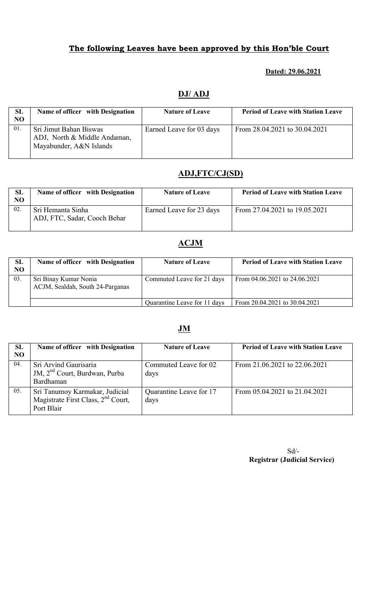## The following Leaves have been approved by this Hon'ble Court

#### Dated: 29.06.2021

#### DJ/ ADJ

| SL<br>N <sub>O</sub> | Name of officer with Designation                                                  | <b>Nature of Leave</b>   | <b>Period of Leave with Station Leave</b> |
|----------------------|-----------------------------------------------------------------------------------|--------------------------|-------------------------------------------|
| 01.                  | Sri Jimut Bahan Biswas<br>ADJ, North & Middle Andaman,<br>Mayabunder, A&N Islands | Earned Leave for 03 days | From 28.04.2021 to 30.04.2021             |

## ADJ,FTC/CJ(SD)

| <b>SL</b><br>NO | Name of officer with Designation                  | <b>Nature of Leave</b>   | <b>Period of Leave with Station Leave</b> |
|-----------------|---------------------------------------------------|--------------------------|-------------------------------------------|
| 02.             | Sri Hemanta Sinha<br>ADJ, FTC, Sadar, Cooch Behar | Earned Leave for 23 days | From 27.04.2021 to 19.05.2021             |

#### ACJM

| <b>SL</b><br>NO | Name of officer with Designation                          | <b>Nature of Leave</b>       | <b>Period of Leave with Station Leave</b> |
|-----------------|-----------------------------------------------------------|------------------------------|-------------------------------------------|
| 03.             | Sri Binay Kumar Nonia<br>ACJM, Sealdah, South 24-Parganas | Commuted Leave for 21 days   | From 04.06.2021 to 24.06.2021             |
|                 |                                                           | Quarantine Leave for 11 days | From 20.04.2021 to 30.04.2021             |

## JM

| SL<br>N <sub>O</sub> | Name of officer with Designation                                                               | <b>Nature of Leave</b>          | <b>Period of Leave with Station Leave</b> |
|----------------------|------------------------------------------------------------------------------------------------|---------------------------------|-------------------------------------------|
| 04.                  | Sri Arvind Gaurisaria<br>JM, 2 <sup>nd</sup> Court, Burdwan, Purba<br>Bardhaman                | Commuted Leave for 02<br>days   | From 21.06.2021 to 22.06.2021             |
| 05.                  | Sri Tanumoy Karmakar, Judicial<br>Magistrate First Class, 2 <sup>nd</sup> Court,<br>Port Blair | Quarantine Leave for 17<br>days | From 05.04.2021 to 21.04.2021             |

Sd/- Registrar (Judicial Service)